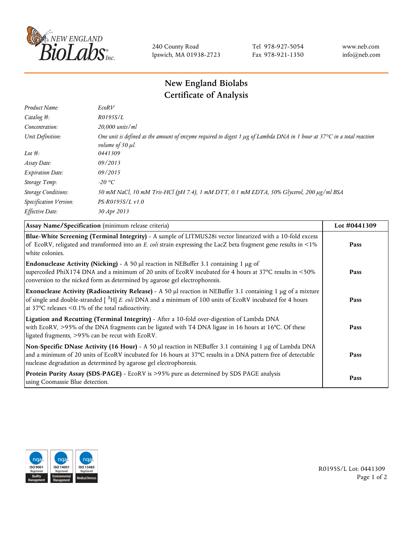

240 County Road Ipswich, MA 01938-2723 Tel 978-927-5054 Fax 978-921-1350 www.neb.com info@neb.com

## **New England Biolabs Certificate of Analysis**

| Product Name:              | EcoRV                                                                                                                                                                  |
|----------------------------|------------------------------------------------------------------------------------------------------------------------------------------------------------------------|
| Catalog $#$ :              | R0195S/L                                                                                                                                                               |
| Concentration:             | 20,000 units/ml                                                                                                                                                        |
| Unit Definition:           | One unit is defined as the amount of enzyme required to digest 1 $\mu$ g of Lambda DNA in 1 hour at 37°C in a total reaction<br><i>volume of 50 <math>\mu</math>l.</i> |
| Lot $#$ :                  | 0441309                                                                                                                                                                |
| Assay Date:                | 09/2013                                                                                                                                                                |
| <b>Expiration Date:</b>    | 09/2015                                                                                                                                                                |
| Storage Temp:              | $-20$ °C                                                                                                                                                               |
| <b>Storage Conditions:</b> | 50 mM NaCl, 10 mM Tris-HCl (pH 7.4), 1 mM DTT, 0.1 mM EDTA, 50% Glycerol, 200 µg/ml BSA                                                                                |
| Specification Version:     | $PS-R0195S/L \nu 1.0$                                                                                                                                                  |
| Effective Date:            | 30 Apr 2013                                                                                                                                                            |

| Assay Name/Specification (minimum release criteria)                                                                                                                                                                                                                                               | Lot #0441309 |
|---------------------------------------------------------------------------------------------------------------------------------------------------------------------------------------------------------------------------------------------------------------------------------------------------|--------------|
| Blue-White Screening (Terminal Integrity) - A sample of LITMUS28i vector linearized with a 10-fold excess<br>of EcoRV, religated and transformed into an E. coli strain expressing the LacZ beta fragment gene results in <1%<br>white colonies.                                                  | Pass         |
| <b>Endonuclease Activity (Nicking)</b> - A 50 $\mu$ l reaction in NEBuffer 3.1 containing 1 $\mu$ g of<br>supercoiled PhiX174 DNA and a minimum of 20 units of EcoRV incubated for 4 hours at 37°C results in <50%<br>conversion to the nicked form as determined by agarose gel electrophoresis. | Pass         |
| Exonuclease Activity (Radioactivity Release) - A 50 µl reaction in NEBuffer 3.1 containing 1 µg of a mixture<br>of single and double-stranded $\int^3 H$ E. coli DNA and a minimum of 100 units of EcoRV incubated for 4 hours<br>at 37 $\degree$ C releases < 0.1% of the total radioactivity.   | Pass         |
| Ligation and Recutting (Terminal Integrity) - After a 10-fold over-digestion of Lambda DNA<br>with EcoRV, >95% of the DNA fragments can be ligated with T4 DNA ligase in 16 hours at 16°C. Of these<br>ligated fragments, >95% can be recut with EcoRV.                                           | Pass         |
| Non-Specific DNase Activity (16 Hour) - A 50 µl reaction in NEBuffer 3.1 containing 1 µg of Lambda DNA<br>and a minimum of 20 units of EcoRV incubated for 16 hours at 37°C results in a DNA pattern free of detectable<br>nuclease degradation as determined by agarose gel electrophoresis.     | Pass         |
| Protein Purity Assay (SDS-PAGE) - EcoRV is >95% pure as determined by SDS PAGE analysis<br>using Coomassie Blue detection.                                                                                                                                                                        | Pass         |



R0195S/L Lot: 0441309 Page 1 of 2